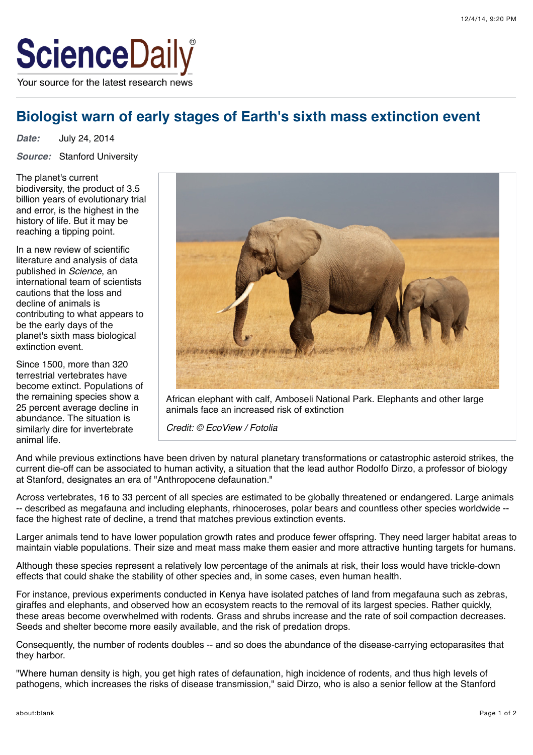

# **Biologist warn of early stages of Earth's sixth mass extinction event**

*Date:* July 24, 2014

*Source:* Stanford University

The planet's current biodiversity, the product of 3.5 billion years of evolutionary trial and error, is the highest in the history of life. But it may be reaching a tipping point.

In a new review of scientific literature and analysis of data published in *Science*, an international team of scientists cautions that the loss and decline of animals is contributing to what appears to be the early days of the planet's sixth mass biological extinction event.

Since 1500, more than 320 terrestrial vertebrates have become extinct. Populations of the remaining species show a 25 percent average decline in abundance. The situation is similarly dire for invertebrate animal life.



African elephant with calf, Amboseli National Park. Elephants and other large animals face an increased risk of extinction

*Credit: © EcoView / Fotolia*

And while previous extinctions have been driven by natural planetary transformations or catastrophic asteroid strikes, the current die-off can be associated to human activity, a situation that the lead author Rodolfo Dirzo, a professor of biology at Stanford, designates an era of "Anthropocene defaunation."

Across vertebrates, 16 to 33 percent of all species are estimated to be globally threatened or endangered. Large animals -- described as megafauna and including elephants, rhinoceroses, polar bears and countless other species worldwide - face the highest rate of decline, a trend that matches previous extinction events.

Larger animals tend to have lower population growth rates and produce fewer offspring. They need larger habitat areas to maintain viable populations. Their size and meat mass make them easier and more attractive hunting targets for humans.

Although these species represent a relatively low percentage of the animals at risk, their loss would have trickle-down effects that could shake the stability of other species and, in some cases, even human health.

For instance, previous experiments conducted in Kenya have isolated patches of land from megafauna such as zebras, giraffes and elephants, and observed how an ecosystem reacts to the removal of its largest species. Rather quickly, these areas become overwhelmed with rodents. Grass and shrubs increase and the rate of soil compaction decreases. Seeds and shelter become more easily available, and the risk of predation drops.

Consequently, the number of rodents doubles -- and so does the abundance of the disease-carrying ectoparasites that they harbor.

"Where human density is high, you get high rates of defaunation, high incidence of rodents, and thus high levels of pathogens, which increases the risks of disease transmission," said Dirzo, who is also a senior fellow at the Stanford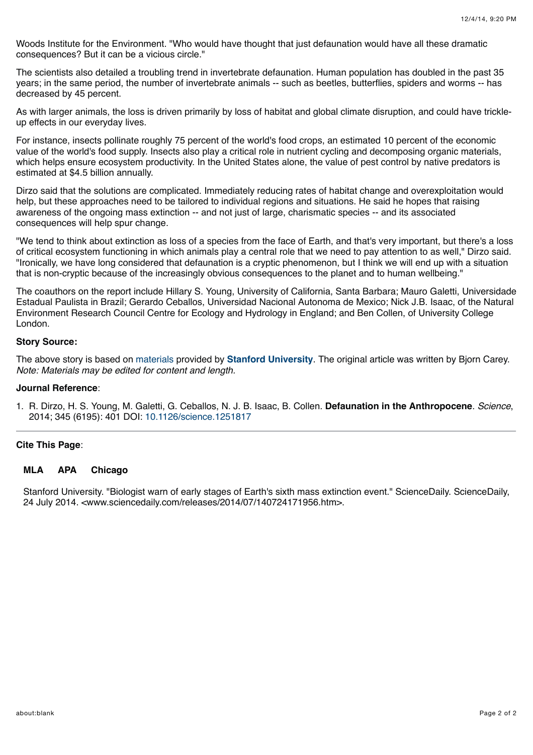Woods Institute for the Environment. "Who would have thought that just defaunation would have all these dramatic consequences? But it can be a vicious circle."

The scientists also detailed a troubling trend in invertebrate defaunation. Human population has doubled in the past 35 years; in the same period, the number of invertebrate animals -- such as beetles, butterflies, spiders and worms -- has decreased by 45 percent.

As with larger animals, the loss is driven primarily by loss of habitat and global climate disruption, and could have trickleup effects in our everyday lives.

For instance, insects pollinate roughly 75 percent of the world's food crops, an estimated 10 percent of the economic value of the world's food supply. Insects also play a critical role in nutrient cycling and decomposing organic materials, which helps ensure ecosystem productivity. In the United States alone, the value of pest control by native predators is estimated at \$4.5 billion annually.

Dirzo said that the solutions are complicated. Immediately reducing rates of habitat change and overexploitation would help, but these approaches need to be tailored to individual regions and situations. He said he hopes that raising awareness of the ongoing mass extinction -- and not just of large, charismatic species -- and its associated consequences will help spur change.

"We tend to think about extinction as loss of a species from the face of Earth, and that's very important, but there's a loss of critical ecosystem functioning in which animals play a central role that we need to pay attention to as well," Dirzo said. "Ironically, we have long considered that defaunation is a cryptic phenomenon, but I think we will end up with a situation that is non-cryptic because of the increasingly obvious consequences to the planet and to human wellbeing."

The coauthors on the report include Hillary S. Young, University of California, Santa Barbara; Mauro Galetti, Universidade Estadual Paulista in Brazil; Gerardo Ceballos, Universidad Nacional Autonoma de Mexico; Nick J.B. Isaac, of the Natural Environment Research Council Centre for Ecology and Hydrology in England; and Ben Collen, of University College London.

#### **Story Source:**

The above story is based on [materials](http://news.stanford.edu/pr/2014/pr-sixth-mass-extinction-072414.html) provided by **[Stanford University](http://www.stanford.edu/)**. The original article was written by Bjorn Carey. *Note: Materials may be edited for content and length.*

#### **Journal Reference**:

1. R. Dirzo, H. S. Young, M. Galetti, G. Ceballos, N. J. B. Isaac, B. Collen. **Defaunation in the Anthropocene**. *Science*, 2014; 345 (6195): 401 DOI: [10.1126/science.1251817](http://dx.doi.org/10.1126/science.1251817)

## **Cite This Page**:

#### **[MLA](http://www.sciencedaily.com/releases/2014/07/140724171956.htm#citation_mla) [APA](http://www.sciencedaily.com/releases/2014/07/140724171956.htm#citation_apa) [Chicago](http://www.sciencedaily.com/releases/2014/07/140724171956.htm#citation_chicago)**

Stanford University. "Biologist warn of early stages of Earth's sixth mass extinction event." ScienceDaily. ScienceDaily, 24 July 2014. <www.sciencedaily.com/releases/2014/07/140724171956.htm>.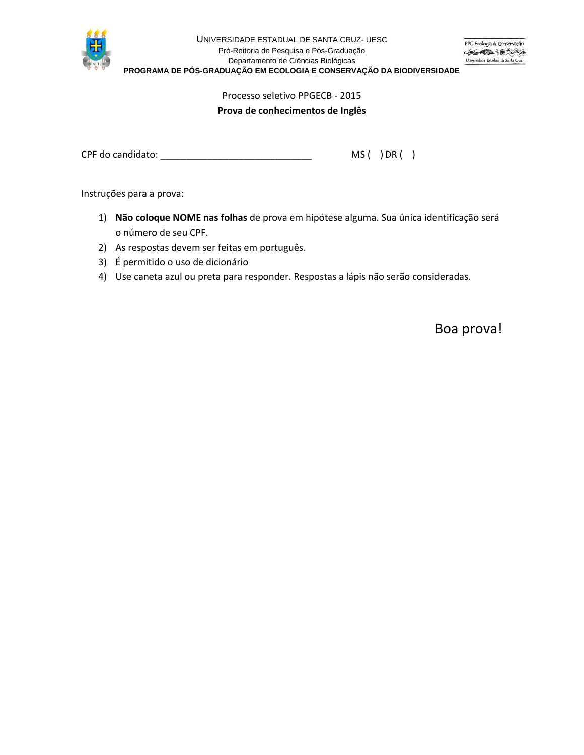

# Processo seletivo PPGECB - 2015

### **Prova de conhecimentos de Inglês**

CPF do candidato: \_\_\_\_\_\_\_\_\_\_\_\_\_\_\_\_\_\_\_\_\_\_\_\_\_\_\_\_\_ MS ( ) DR ( )

Instruções para a prova:

- 1) **Não coloque NOME nas folhas** de prova em hipótese alguma. Sua única identificação será o número de seu CPF.
- 2) As respostas devem ser feitas em português.
- 3) É permitido o uso de dicionário
- 4) Use caneta azul ou preta para responder. Respostas a lápis não serão consideradas.

Boa prova!